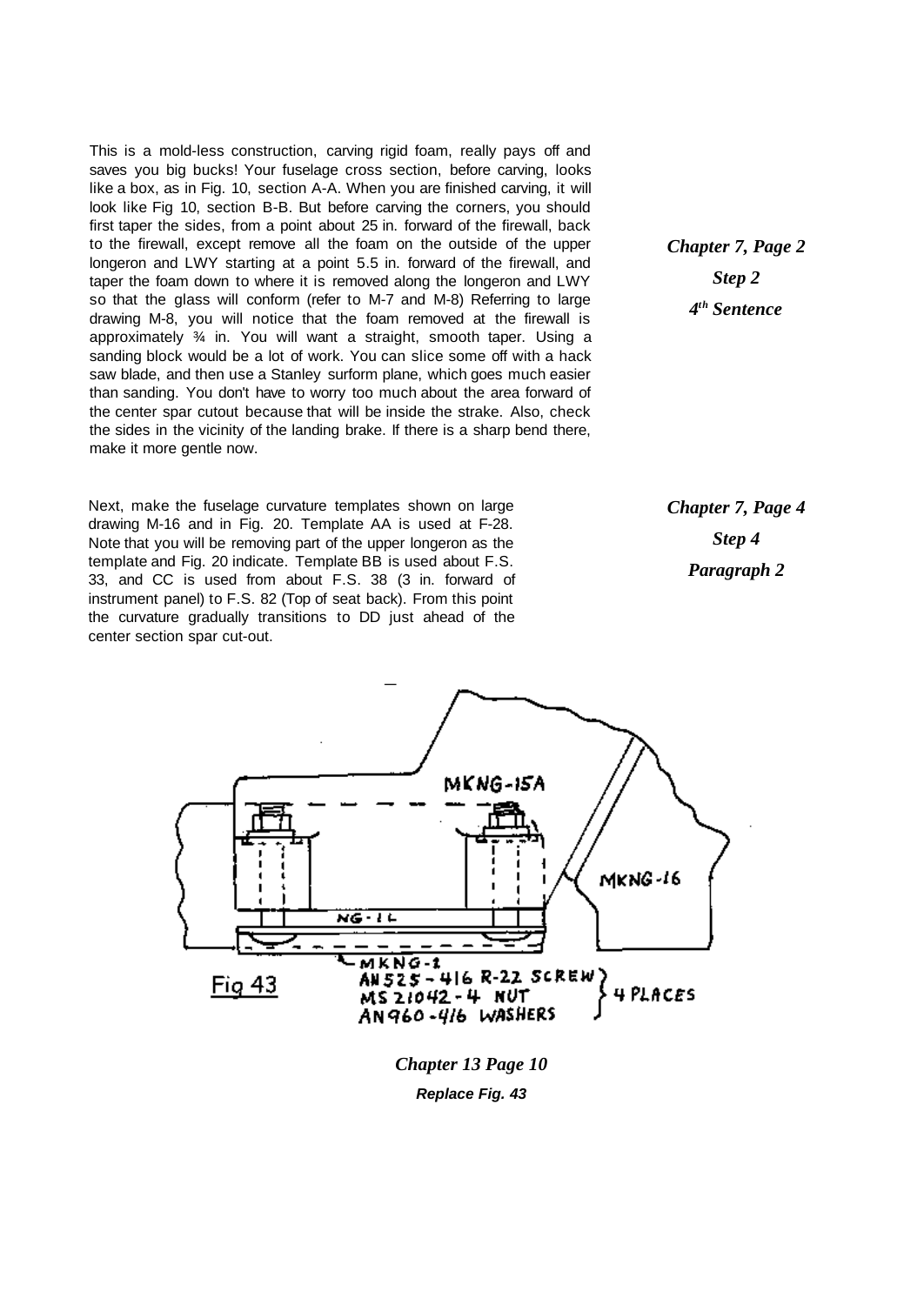This is a mold-less construction, carving rigid foam, really pays off and saves you big bucks! Your fuselage cross section, before carving, looks like a box, as in Fig. 10, section A-A. When you are finished carving, it will look like Fig 10, section B-B. But before carving the corners, you should first taper the sides, from a point about 25 in. forward of the firewall, back to the firewall, except remove all the foam on the outside of the upper longeron and LWY starting at a point 5.5 in. forward of the firewall, and taper the foam down to where it is removed along the longeron and LWY so that the glass will conform (refer to M-7 and M-8) Referring to large drawing M-8, you will notice that the foam removed at the firewall is approximately ¾ in. You will want a straight, smooth taper. Using a sanding block would be a lot of work. You can slice some off with a hack saw blade, and then use a Stanley surform plane, which goes much easier than sanding. You don't have to worry too much about the area forward of the center spar cutout because that will be inside the strake. Also, check the sides in the vicinity of the landing brake. If there is a sharp bend there, make it more gentle now.

Next, make the fuselage curvature templates shown on large drawing M-16 and in Fig. 20. Template AA is used at F-28. Note that you will be removing part of the upper longeron as the template and Fig. 20 indicate. Template BB is used about F.S. 33, and CC is used from about F.S. 38 (3 in. forward of instrument panel) to F.S. 82 (Top of seat back). From this point the curvature gradually transitions to DD just ahead of the center section spar cut-out.

*Chapter 7, Page 2 Step 2 4 th Sentence*

*Chapter 7, Page 4 Step 4 Paragraph 2*



*Chapter 13 Page 10*